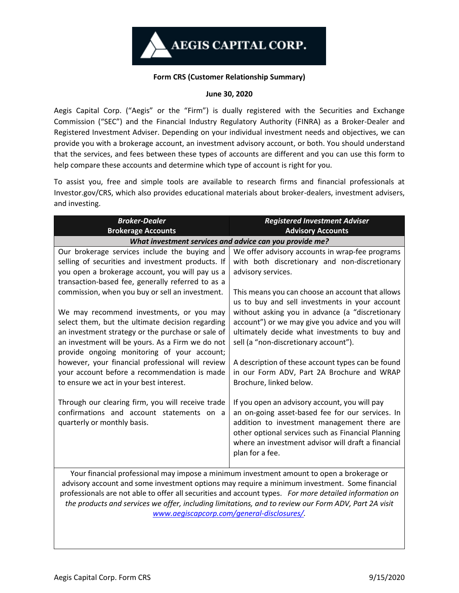## **Form CRS (Customer Relationship Summary)**

## **June 30, 2020**

Aegis Capital Corp. ("Aegis" or the "Firm") is dually registered with the Securities and Exchange Commission ("SEC") and the Financial Industry Regulatory Authority (FINRA) as a Broker-Dealer and Registered Investment Adviser. Depending on your individual investment needs and objectives, we can provide you with a brokerage account, an investment advisory account, or both. You should understand that the services, and fees between these types of accounts are different and you can use this form to help compare these accounts and determine which type of account is right for you.

To assist you, free and simple tools are available to research firms and financial professionals at Investor.gov/CRS, which also provides educational materials about broker-dealers, investment advisers, and investing.

| <b>Broker-Dealer</b><br><b>Brokerage Accounts</b>                                                                                                                                                                                                                                                                                                                                                   | <b>Registered Investment Adviser</b><br><b>Advisory Accounts</b>                                                                                                                                                                                                                                                            |  |
|-----------------------------------------------------------------------------------------------------------------------------------------------------------------------------------------------------------------------------------------------------------------------------------------------------------------------------------------------------------------------------------------------------|-----------------------------------------------------------------------------------------------------------------------------------------------------------------------------------------------------------------------------------------------------------------------------------------------------------------------------|--|
| What investment services and advice can you provide me?                                                                                                                                                                                                                                                                                                                                             |                                                                                                                                                                                                                                                                                                                             |  |
| Our brokerage services include the buying and<br>selling of securities and investment products. If<br>you open a brokerage account, you will pay us a<br>transaction-based fee, generally referred to as a<br>commission, when you buy or sell an investment.                                                                                                                                       | We offer advisory accounts in wrap-fee programs<br>with both discretionary and non-discretionary<br>advisory services.<br>This means you can choose an account that allows<br>us to buy and sell investments in your account                                                                                                |  |
| We may recommend investments, or you may<br>select them, but the ultimate decision regarding<br>an investment strategy or the purchase or sale of<br>an investment will be yours. As a Firm we do not<br>provide ongoing monitoring of your account;<br>however, your financial professional will review<br>your account before a recommendation is made<br>to ensure we act in your best interest. | without asking you in advance (a "discretionary<br>account") or we may give you advice and you will<br>ultimately decide what investments to buy and<br>sell (a "non-discretionary account").<br>A description of these account types can be found<br>in our Form ADV, Part 2A Brochure and WRAP<br>Brochure, linked below. |  |
| Through our clearing firm, you will receive trade<br>confirmations and account statements on a<br>quarterly or monthly basis.                                                                                                                                                                                                                                                                       | If you open an advisory account, you will pay<br>an on-going asset-based fee for our services. In<br>addition to investment management there are<br>other optional services such as Financial Planning<br>where an investment advisor will draft a financial<br>plan for a fee.                                             |  |
| Your financial professional may impose a minimum investment amount to open a brokerage or<br>advisory account and some investment options may require a minimum investment. Some financial                                                                                                                                                                                                          |                                                                                                                                                                                                                                                                                                                             |  |

professionals are not able to offer all securities and account types. *For more detailed information on the products and services we offer, including limitations, and to review our Form ADV, Part 2A visit [www.aegiscapcorp.com/general-disclosures/.](http://www.aegiscapcorp.com/general-disclosures/)*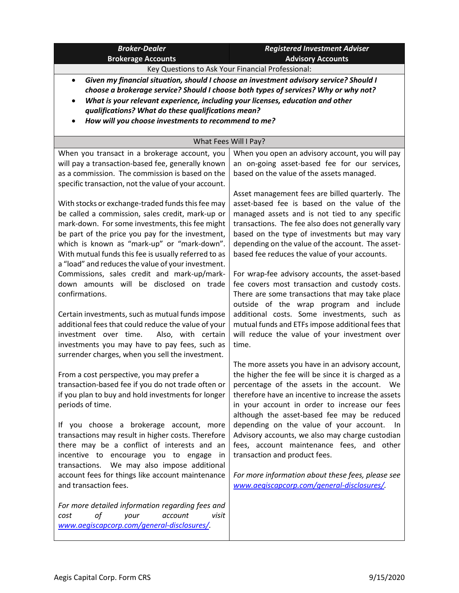| <b>Broker-Dealer</b><br><b>Brokerage Accounts</b>                                                                                                                                                                                                                                                                                                                                                                                                                                                                                                                                                                                                                                                                                                        | <b>Registered Investment Adviser</b><br><b>Advisory Accounts</b>                                                                                                                                                                                                                                                                                                                                                                                                                                                                                                                                                                                                                                                                |  |
|----------------------------------------------------------------------------------------------------------------------------------------------------------------------------------------------------------------------------------------------------------------------------------------------------------------------------------------------------------------------------------------------------------------------------------------------------------------------------------------------------------------------------------------------------------------------------------------------------------------------------------------------------------------------------------------------------------------------------------------------------------|---------------------------------------------------------------------------------------------------------------------------------------------------------------------------------------------------------------------------------------------------------------------------------------------------------------------------------------------------------------------------------------------------------------------------------------------------------------------------------------------------------------------------------------------------------------------------------------------------------------------------------------------------------------------------------------------------------------------------------|--|
| Key Questions to Ask Your Financial Professional:                                                                                                                                                                                                                                                                                                                                                                                                                                                                                                                                                                                                                                                                                                        |                                                                                                                                                                                                                                                                                                                                                                                                                                                                                                                                                                                                                                                                                                                                 |  |
| $\bullet$                                                                                                                                                                                                                                                                                                                                                                                                                                                                                                                                                                                                                                                                                                                                                | Given my financial situation, should I choose an investment advisory service? Should I                                                                                                                                                                                                                                                                                                                                                                                                                                                                                                                                                                                                                                          |  |
| choose a brokerage service? Should I choose both types of services? Why or why not?                                                                                                                                                                                                                                                                                                                                                                                                                                                                                                                                                                                                                                                                      |                                                                                                                                                                                                                                                                                                                                                                                                                                                                                                                                                                                                                                                                                                                                 |  |
| What is your relevant experience, including your licenses, education and other<br>$\bullet$                                                                                                                                                                                                                                                                                                                                                                                                                                                                                                                                                                                                                                                              |                                                                                                                                                                                                                                                                                                                                                                                                                                                                                                                                                                                                                                                                                                                                 |  |
| qualifications? What do these qualifications mean?                                                                                                                                                                                                                                                                                                                                                                                                                                                                                                                                                                                                                                                                                                       |                                                                                                                                                                                                                                                                                                                                                                                                                                                                                                                                                                                                                                                                                                                                 |  |
| How will you choose investments to recommend to me?                                                                                                                                                                                                                                                                                                                                                                                                                                                                                                                                                                                                                                                                                                      |                                                                                                                                                                                                                                                                                                                                                                                                                                                                                                                                                                                                                                                                                                                                 |  |
| What Fees Will I Pay?                                                                                                                                                                                                                                                                                                                                                                                                                                                                                                                                                                                                                                                                                                                                    |                                                                                                                                                                                                                                                                                                                                                                                                                                                                                                                                                                                                                                                                                                                                 |  |
| When you transact in a brokerage account, you<br>will pay a transaction-based fee, generally known<br>as a commission. The commission is based on the                                                                                                                                                                                                                                                                                                                                                                                                                                                                                                                                                                                                    | When you open an advisory account, you will pay<br>an on-going asset-based fee for our services,<br>based on the value of the assets managed.                                                                                                                                                                                                                                                                                                                                                                                                                                                                                                                                                                                   |  |
| specific transaction, not the value of your account.<br>With stocks or exchange-traded funds this fee may<br>be called a commission, sales credit, mark-up or<br>mark-down. For some investments, this fee might<br>be part of the price you pay for the investment,<br>which is known as "mark-up" or "mark-down".<br>With mutual funds this fee is usually referred to as<br>a "load" and reduces the value of your investment.<br>Commissions, sales credit and mark-up/mark-<br>down amounts will be disclosed on trade<br>confirmations.<br>Certain investments, such as mutual funds impose<br>additional fees that could reduce the value of your<br>investment over time.<br>Also, with certain<br>investments you may have to pay fees, such as | Asset management fees are billed quarterly. The<br>asset-based fee is based on the value of the<br>managed assets and is not tied to any specific<br>transactions. The fee also does not generally vary<br>based on the type of investments but may vary<br>depending on the value of the account. The asset-<br>based fee reduces the value of your accounts.<br>For wrap-fee advisory accounts, the asset-based<br>fee covers most transaction and custody costs.<br>There are some transactions that may take place<br>outside of the wrap program and include<br>additional costs. Some investments, such as<br>mutual funds and ETFs impose additional fees that<br>will reduce the value of your investment over<br>time. |  |
| surrender charges, when you sell the investment.<br>From a cost perspective, you may prefer a<br>transaction-based fee if you do not trade often or<br>if you plan to buy and hold investments for longer<br>periods of time.<br>If you choose a brokerage account, more<br>transactions may result in higher costs. Therefore<br>there may be a conflict of interests and an<br>incentive to encourage you to engage in<br>transactions. We may also impose additional<br>account fees for things like account maintenance<br>and transaction fees.                                                                                                                                                                                                     | The more assets you have in an advisory account,<br>the higher the fee will be since it is charged as a<br>percentage of the assets in the account. We<br>therefore have an incentive to increase the assets<br>in your account in order to increase our fees<br>although the asset-based fee may be reduced<br>depending on the value of your account.<br>ln.<br>Advisory accounts, we also may charge custodian<br>fees, account maintenance fees, and other<br>transaction and product fees.<br>For more information about these fees, please see<br>www.aegiscapcorp.com/general-disclosures/.                                                                                                                              |  |
| For more detailed information regarding fees and<br>of<br>your<br>account<br>visit<br>cost<br>www.aegiscapcorp.com/general-disclosures/.                                                                                                                                                                                                                                                                                                                                                                                                                                                                                                                                                                                                                 |                                                                                                                                                                                                                                                                                                                                                                                                                                                                                                                                                                                                                                                                                                                                 |  |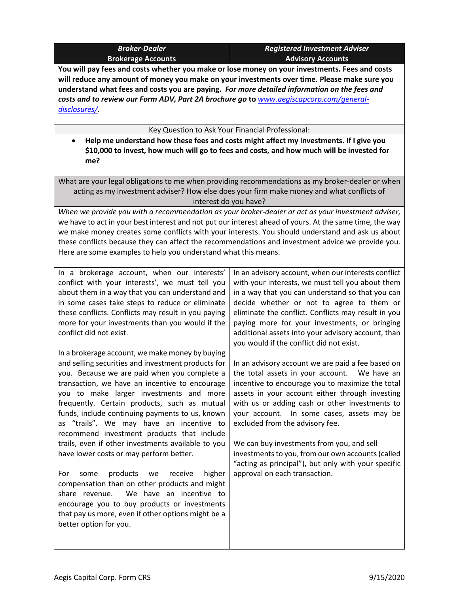| <b>Broker-Dealer</b>      |  |  |
|---------------------------|--|--|
| <b>Brokerage Accounts</b> |  |  |

*Registered Investment Adviser* **Advisory Accounts**

**You will pay fees and costs whether you make or lose money on your investments. Fees and costs will reduce any amount of money you make on your investments over time. Please make sure you understand what fees and costs you are paying.** *For more detailed information on the fees and costs and to review our Form ADV, Part 2A brochure go* **to** *[www.aegiscapcorp.com/general](http://www.aegiscapcorp.com/general-disclosures/)[disclosures/](http://www.aegiscapcorp.com/general-disclosures/).*

Key Question to Ask Your Financial Professional:

• **Help me understand how these fees and costs might affect my investments. If I give you \$10,000 to invest, how much will go to fees and costs, and how much will be invested for me?**

What are your legal obligations to me when providing recommendations as my broker-dealer or when acting as my investment adviser? How else does your firm make money and what conflicts of interest do you have?

*When we provide you with a recommendation as your broker-dealer or act as your investment adviser,* we have to act in your best interest and not put our interest ahead of yours. At the same time, the way we make money creates some conflicts with your interests. You should understand and ask us about these conflicts because they can affect the recommendations and investment advice we provide you. Here are some examples to help you understand what this means.

In a brokerage account, when our interests' conflict with your interests', we must tell you about them in a way that you can understand and in some cases take steps to reduce or eliminate these conflicts. Conflicts may result in you paying more for your investments than you would if the conflict did not exist.

In a brokerage account, we make money by buying and selling securities and investment products for you. Because we are paid when you complete a transaction, we have an incentive to encourage you to make larger investments and more frequently. Certain products, such as mutual funds, include continuing payments to us, known as "trails". We may have an incentive to recommend investment products that include trails, even if other investments available to you have lower costs or may perform better.

For some products we receive higher compensation than on other products and might share revenue. We have an incentive to encourage you to buy products or investments that pay us more, even if other options might be a better option for you.

In an advisory account, when our interests conflict with your interests, we must tell you about them in a way that you can understand so that you can decide whether or not to agree to them or eliminate the conflict. Conflicts may result in you paying more for your investments, or bringing additional assets into your advisory account, than you would if the conflict did not exist.

In an advisory account we are paid a fee based on the total assets in your account. We have an incentive to encourage you to maximize the total assets in your account either through investing with us or adding cash or other investments to your account. In some cases, assets may be excluded from the advisory fee.

We can buy investments from you, and sell investments to you, from our own accounts(called "acting as principal"), but only with your specific approval on each transaction.